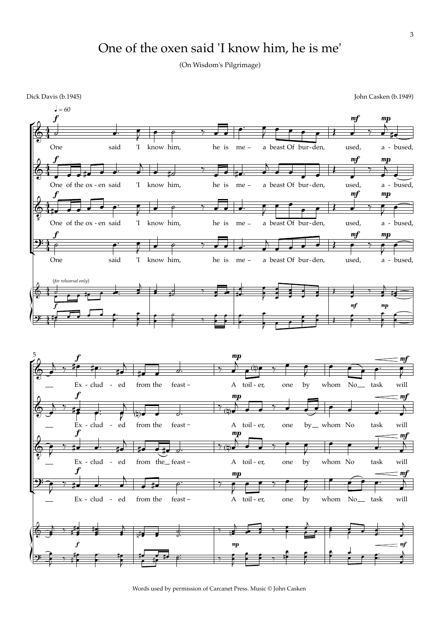## One of the oxen said 'I know him, he is me'

(On Wisdom's Pilgrimage)

Dick Davis (b.1945) John Casken (b.1949)



Words used by permission of Carcanet Press. Music © John Casken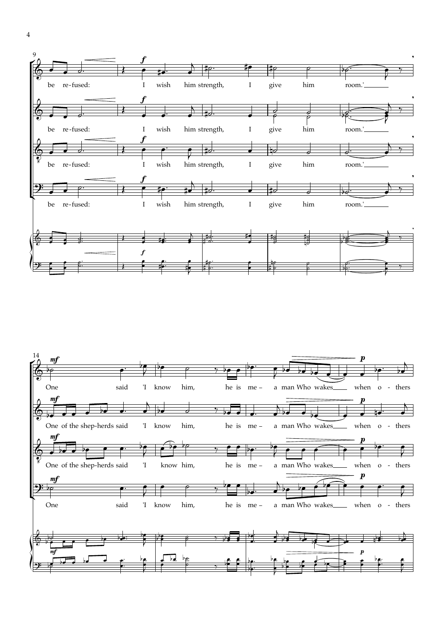